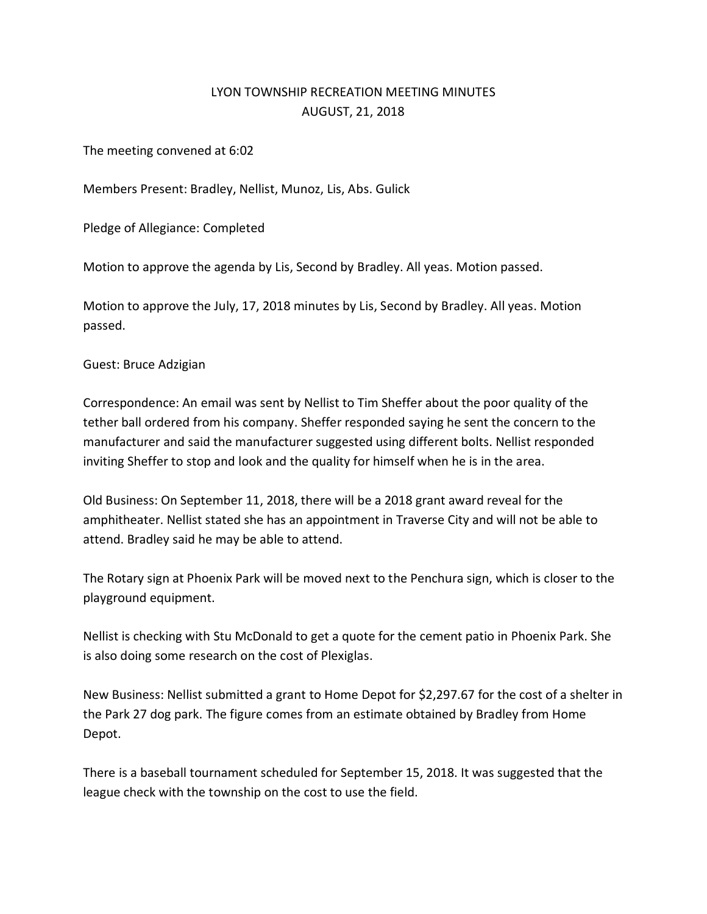## LYON TOWNSHIP RECREATION MEETING MINUTES AUGUST, 21, 2018

The meeting convened at 6:02

Members Present: Bradley, Nellist, Munoz, Lis, Abs. Gulick

Pledge of Allegiance: Completed

Motion to approve the agenda by Lis, Second by Bradley. All yeas. Motion passed.

Motion to approve the July, 17, 2018 minutes by Lis, Second by Bradley. All yeas. Motion passed.

Guest: Bruce Adzigian

Correspondence: An email was sent by Nellist to Tim Sheffer about the poor quality of the tether ball ordered from his company. Sheffer responded saying he sent the concern to the manufacturer and said the manufacturer suggested using different bolts. Nellist responded inviting Sheffer to stop and look and the quality for himself when he is in the area.

Old Business: On September 11, 2018, there will be a 2018 grant award reveal for the amphitheater. Nellist stated she has an appointment in Traverse City and will not be able to attend. Bradley said he may be able to attend.

The Rotary sign at Phoenix Park will be moved next to the Penchura sign, which is closer to the playground equipment.

Nellist is checking with Stu McDonald to get a quote for the cement patio in Phoenix Park. She is also doing some research on the cost of Plexiglas.

New Business: Nellist submitted a grant to Home Depot for \$2,297.67 for the cost of a shelter in the Park 27 dog park. The figure comes from an estimate obtained by Bradley from Home Depot.

There is a baseball tournament scheduled for September 15, 2018. It was suggested that the league check with the township on the cost to use the field.